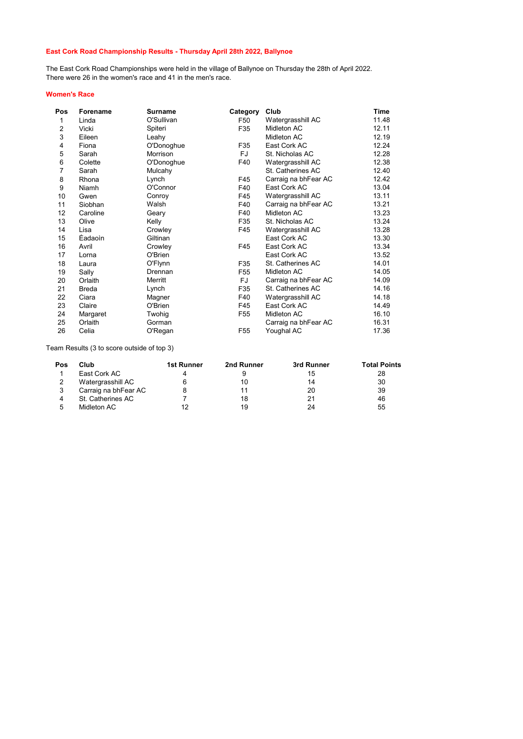## East Cork Road Championship Results - Thursday April 28th 2022, Ballynoe

The East Cork Road Championships were held in the village of Ballynoe on Thursday the 28th of April 2022. There were 26 in the women's race and 41 in the men's race.

## Women's Race

| Pos            | Forename | Surname    | Category        | Club                 | Time  |
|----------------|----------|------------|-----------------|----------------------|-------|
| 1              | Linda    | O'Sullivan | F50             | Watergrasshill AC    | 11.48 |
| $\overline{2}$ | Vicki    | Spiteri    | F35             | Midleton AC          | 12.11 |
| 3              | Eileen   | Leahy      |                 | Midleton AC          | 12.19 |
| 4              | Fiona    | O'Donoghue | F35             | East Cork AC         | 12.24 |
| 5              | Sarah    | Morrison   | FJ              | St. Nicholas AC      | 12.28 |
| 6              | Colette  | O'Donoghue | F40             | Watergrasshill AC    | 12.38 |
| $\overline{7}$ | Sarah    | Mulcahy    |                 | St. Catherines AC    | 12.40 |
| 8              | Rhona    | Lynch      | F45             | Carraig na bhFear AC | 12.42 |
| 9              | Niamh    | O'Connor   | F40             | East Cork AC         | 13.04 |
| 10             | Gwen     | Conroy     | F45             | Watergrasshill AC    | 13.11 |
| 11             | Siobhan  | Walsh      | F40             | Carraig na bhFear AC | 13.21 |
| 12             | Caroline | Geary      | F40             | Midleton AC          | 13.23 |
| 13             | Olive    | Kelly      | F35             | St. Nicholas AC      | 13.24 |
| 14             | Lisa     | Crowley    | F45             | Watergrasshill AC    | 13.28 |
| 15             | Eadaoin  | Giltinan   |                 | East Cork AC         | 13.30 |
| 16             | Avril    | Crowley    | F45             | East Cork AC         | 13.34 |
| 17             | Lorna    | O'Brien    |                 | East Cork AC         | 13.52 |
| 18             | Laura    | O'Flynn    | F35             | St. Catherines AC    | 14.01 |
| 19             | Sally    | Drennan    | F <sub>55</sub> | Midleton AC          | 14.05 |
| 20             | Orlaith  | Merritt    | FJ              | Carraig na bhFear AC | 14.09 |
| 21             | Breda    | Lynch      | F35             | St. Catherines AC    | 14.16 |
| 22             | Ciara    | Magner     | F40             | Watergrasshill AC    | 14.18 |
| 23             | Claire   | O'Brien    | F45             | East Cork AC         | 14.49 |
| 24             | Margaret | Twohig     | F <sub>55</sub> | Midleton AC          | 16.10 |
| 25             | Orlaith  | Gorman     |                 | Carraig na bhFear AC | 16.31 |
| 26             | Celia    | O'Regan    | F <sub>55</sub> | Youghal AC           | 17.36 |

Team Results (3 to score outside of top 3)

| Pos | Club                 | 1st Runner | 2nd Runner | 3rd Runner | <b>Total Points</b> |
|-----|----------------------|------------|------------|------------|---------------------|
|     | East Cork AC         |            |            | 15         | 28                  |
|     | Watergrasshill AC    |            | 10         | 14         | 30                  |
|     | Carraig na bhFear AC |            |            | 20         | 39                  |
|     | St. Catherines AC    |            | 18         |            | 46                  |
|     | Midleton AC          |            | 19         | 24         | 55                  |